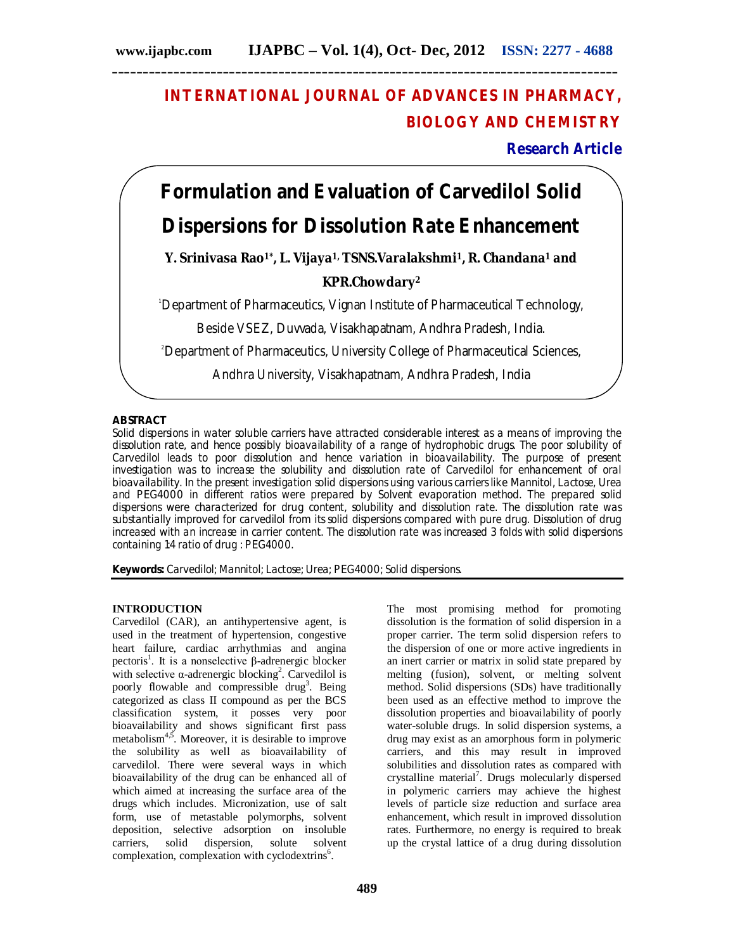## **INTERNATIONAL JOURNAL OF ADVANCES IN PHARMACY, BIOLOGY AND CHEMISTRY**

**Research Article**

# **Formulation and Evaluation of Carvedilol Solid**

## **Dispersions for Dissolution Rate Enhancement**

**Y. Srinivasa Rao1\* , L. Vijaya1, TSNS.Varalakshmi1, R. Chandana<sup>1</sup> and** 

## **KPR.Chowdary<sup>2</sup>**

<sup>1</sup>Department of Pharmaceutics, Vignan Institute of Pharmaceutical Technology,

Beside VSEZ, Duvvada, Visakhapatnam, Andhra Pradesh, India.

<sup>2</sup>Department of Pharmaceutics, University College of Pharmaceutical Sciences,

Andhra University, Visakhapatnam, Andhra Pradesh, India

## **ABSTRACT**

Solid dispersions in water soluble carriers have attracted considerable interest as a means of improving the dissolution rate, and hence possibly bioavailability of a range of hydrophobic drugs. The poor solubility of Carvedilol leads to poor dissolution and hence variation in bioavailability. The purpose of present investigation was to increase the solubility and dissolution rate of Carvedilol for enhancement of oral bioavailability. In the present investigation solid dispersions using various carriers like Mannitol, Lactose, Urea and PEG4000 in different ratios were prepared by Solvent evaporation method. The prepared solid dispersions were characterized for drug content, solubility and dissolution rate. The dissolution rate was substantially improved for carvedilol from its solid dispersions compared with pure drug. Dissolution of drug increased with an increase in carrier content. The dissolution rate was increased 3 folds with solid dispersions containing 1:4 ratio of drug : PEG4000.

**Keywords:** Carvedilol; Mannitol; Lactose; Urea; PEG4000; Solid dispersions.

#### **INTRODUCTION**

Carvedilol (CAR), an antihypertensive agent, is used in the treatment of hypertension, congestive heart failure, cardiac arrhythmias and angina pectoris<sup>1</sup>. It is a nonselective β-adrenergic blocker with selective  $\alpha$ -adrenergic blocking<sup>2</sup>. Carvedilol is poorly flowable and compressible drug<sup>3</sup>. Being categorized as class II compound as per the BCS classification system, it posses very poor bioavailability and shows significant first pass metabolism $4,5$ . Moreover, it is desirable to improve the solubility as well as bioavailability of carvedilol. There were several ways in which bioavailability of the drug can be enhanced all of which aimed at increasing the surface area of the drugs which includes. Micronization, use of salt form, use of metastable polymorphs, solvent deposition, selective adsorption on insoluble carriers, solid dispersion, solute solvent complexation, complexation with cyclodextrins<sup>6</sup>.

The most promising method for promoting dissolution is the formation of solid dispersion in a proper carrier. The term solid dispersion refers to the dispersion of one or more active ingredients in an inert carrier or matrix in solid state prepared by melting (fusion), solvent, or melting solvent method. Solid dispersions (SDs) have traditionally been used as an effective method to improve the dissolution properties and bioavailability of poorly water-soluble drugs. In solid dispersion systems, a drug may exist as an amorphous form in polymeric carriers, and this may result in improved solubilities and dissolution rates as compared with crystalline material<sup>7</sup>. Drugs molecularly dispersed in polymeric carriers may achieve the highest levels of particle size reduction and surface area enhancement, which result in improved dissolution rates. Furthermore, no energy is required to break up the crystal lattice of a drug during dissolution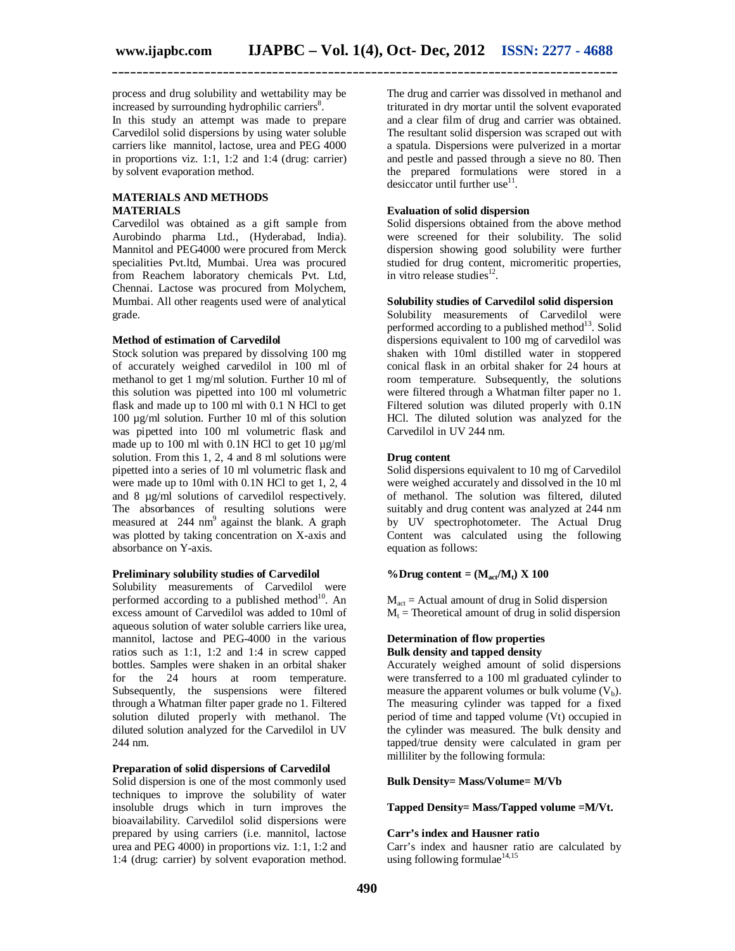process and drug solubility and wettability may be increased by surrounding hydrophilic carriers<sup>8</sup>.

In this study an attempt was made to prepare Carvedilol solid dispersions by using water soluble carriers like mannitol, lactose, urea and PEG 4000 in proportions viz. 1:1, 1:2 and 1:4 (drug: carrier) by solvent evaporation method.

## **MATERIALS AND METHODS MATERIALS**

Carvedilol was obtained as a gift sample from Aurobindo pharma Ltd., (Hyderabad, India). Mannitol and PEG4000 were procured from Merck specialities Pvt.ltd, Mumbai. Urea was procured from Reachem laboratory chemicals Pvt. Ltd, Chennai. Lactose was procured from Molychem, Mumbai. All other reagents used were of analytical grade.

#### **Method of estimation of Carvedilol**

Stock solution was prepared by dissolving 100 mg of accurately weighed carvedilol in 100 ml of methanol to get 1 mg/ml solution. Further 10 ml of this solution was pipetted into 100 ml volumetric flask and made up to 100 ml with 0.1 N HCl to get 100 µg/ml solution. Further 10 ml of this solution was pipetted into 100 ml volumetric flask and made up to 100 ml with 0.1N HCl to get 10  $\mu$ g/ml solution. From this 1, 2, 4 and 8 ml solutions were pipetted into a series of 10 ml volumetric flask and were made up to 10ml with  $0.1N$  HCl to get 1, 2, 4 and 8  $\mu$ g/ml solutions of carvedilol respectively. The absorbances of resulting solutions were measured at 244 nm<sup>9</sup> against the blank. A graph was plotted by taking concentration on X-axis and absorbance on Y-axis.

#### **Preliminary solubility studies of Carvedilol**

Solubility measurements of Carvedilol were performed according to a published method $10$ . An excess amount of Carvedilol was added to 10ml of aqueous solution of water soluble carriers like urea, mannitol, lactose and PEG-4000 in the various ratios such as 1:1, 1:2 and 1:4 in screw capped bottles. Samples were shaken in an orbital shaker for the 24 hours at room temperature. Subsequently, the suspensions were filtered through a Whatman filter paper grade no 1. Filtered solution diluted properly with methanol. The diluted solution analyzed for the Carvedilol in UV 244 nm.

## **Preparation of solid dispersions of Carvedilol**

Solid dispersion is one of the most commonly used techniques to improve the solubility of water insoluble drugs which in turn improves the bioavailability. Carvedilol solid dispersions were prepared by using carriers (i.e. mannitol, lactose urea and PEG 4000) in proportions viz. 1:1, 1:2 and 1:4 (drug: carrier) by solvent evaporation method.

The drug and carrier was dissolved in methanol and triturated in dry mortar until the solvent evaporated and a clear film of drug and carrier was obtained. The resultant solid dispersion was scraped out with a spatula. Dispersions were pulverized in a mortar and pestle and passed through a sieve no 80. Then the prepared formulations were stored in a desiccator until further use $^{11}$ .

#### **Evaluation of solid dispersion**

Solid dispersions obtained from the above method were screened for their solubility. The solid dispersion showing good solubility were further studied for drug content, micromeritic properties, in vitro release studies<sup>12</sup>.

#### **Solubility studies of Carvedilol solid dispersion**

Solubility measurements of Carvedilol were performed according to a published method $^{13}$ . Solid dispersions equivalent to 100 mg of carvedilol was shaken with 10ml distilled water in stoppered conical flask in an orbital shaker for 24 hours at room temperature. Subsequently, the solutions were filtered through a Whatman filter paper no 1. Filtered solution was diluted properly with 0.1N HCl. The diluted solution was analyzed for the Carvedilol in UV 244 nm.

#### **Drug content**

Solid dispersions equivalent to 10 mg of Carvedilol were weighed accurately and dissolved in the 10 ml of methanol. The solution was filtered, diluted suitably and drug content was analyzed at 244 nm by UV spectrophotometer. The Actual Drug Content was calculated using the following equation as follows:

## **%Drug content = (Mact/Mt) X 100**

 $M<sub>act</sub>$  = Actual amount of drug in Solid dispersion  $M_t$  = Theoretical amount of drug in solid dispersion

#### **Determination of flow properties Bulk density and tapped density**

Accurately weighed amount of solid dispersions were transferred to a 100 ml graduated cylinder to measure the apparent volumes or bulk volume  $(V_b)$ . The measuring cylinder was tapped for a fixed period of time and tapped volume (Vt) occupied in the cylinder was measured. The bulk density and tapped/true density were calculated in gram per milliliter by the following formula:

#### **Bulk Density= Mass/Volume= M/Vb**

#### **Tapped Density= Mass/Tapped volume =M/Vt.**

#### **Carr's index and Hausner ratio**

Carr's index and hausner ratio are calculated by using following formulae<sup>14,15</sup>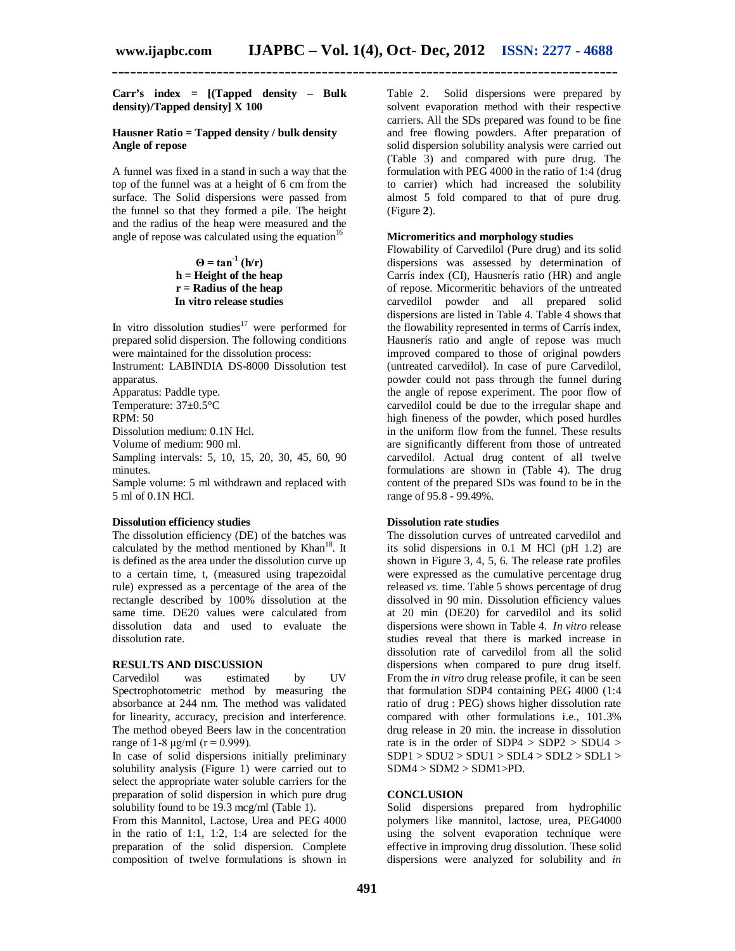**Carr's index = [(Tapped density – Bulk density)/Tapped density] X 100**

#### **Hausner Ratio = Tapped density / bulk density Angle of repose**

A funnel was fixed in a stand in such a way that the top of the funnel was at a height of 6 cm from the surface. The Solid dispersions were passed from the funnel so that they formed a pile. The height and the radius of the heap were measured and the angle of repose was calculated using the equation<sup>16</sup>

### $\Theta = \tan^{-1}(\mathbf{h}/\mathbf{r})$ **h = Height of the heap r = Radius of the heap In vitro release studies**

In vitro dissolution studies<sup>17</sup> were performed for prepared solid dispersion. The following conditions were maintained for the dissolution process: Instrument: LABINDIA DS-8000 Dissolution test

apparatus. Apparatus: Paddle type. Temperature: 37±0.5°C RPM: 50 Dissolution medium: 0.1N Hcl.

Volume of medium: 900 ml.

Sampling intervals: 5, 10, 15, 20, 30, 45, 60, 90 minutes.

Sample volume: 5 ml withdrawn and replaced with 5 ml of 0.1N HCl.

#### **Dissolution efficiency studies**

The dissolution efficiency (DE) of the batches was calculated by the method mentioned by  $Khan<sup>18</sup>$ . It is defined as the area under the dissolution curve up to a certain time, t, (measured using trapezoidal rule) expressed as a percentage of the area of the rectangle described by 100% dissolution at the same time. DE20 values were calculated from dissolution data and used to evaluate the dissolution rate.

#### **RESULTS AND DISCUSSION**

Carvedilol was estimated by UV Spectrophotometric method by measuring the absorbance at 244 nm. The method was validated for linearity, accuracy, precision and interference. The method obeyed Beers law in the concentration range of 1-8 μg/ml ( $r = 0.999$ ).

In case of solid dispersions initially preliminary solubility analysis (Figure 1) were carried out to select the appropriate water soluble carriers for the preparation of solid dispersion in which pure drug solubility found to be 19.3 mcg/ml (Table 1).

From this Mannitol, Lactose, Urea and PEG 4000 in the ratio of 1:1, 1:2, 1:4 are selected for the preparation of the solid dispersion. Complete composition of twelve formulations is shown in

Table 2. Solid dispersions were prepared by solvent evaporation method with their respective carriers. All the SDs prepared was found to be fine and free flowing powders. After preparation of solid dispersion solubility analysis were carried out (Table 3) and compared with pure drug. The formulation with PEG 4000 in the ratio of 1:4 (drug to carrier) which had increased the solubility almost 5 fold compared to that of pure drug. (Figure **2**).

## **Micromeritics and morphology studies**

Flowability of Carvedilol (Pure drug) and its solid dispersions was assessed by determination of Carrís index (CI), Hausnerís ratio (HR) and angle of repose. Micormeritic behaviors of the untreated carvedilol powder and all prepared solid dispersions are listed in Table 4. Table 4 shows that the flowability represented in terms of Carrís index, Hausnerís ratio and angle of repose was much improved compared to those of original powders (untreated carvedilol). In case of pure Carvedilol, powder could not pass through the funnel during the angle of repose experiment. The poor flow of carvedilol could be due to the irregular shape and high fineness of the powder, which posed hurdles in the uniform flow from the funnel. These results are significantly different from those of untreated carvedilol. Actual drug content of all twelve formulations are shown in (Table 4). The drug content of the prepared SDs was found to be in the range of 95.8 - 99.49%.

## **Dissolution rate studies**

The dissolution curves of untreated carvedilol and its solid dispersions in 0.1 M HCl (pH 1.2) are shown in Figure 3, 4, 5, 6. The release rate profiles were expressed as the cumulative percentage drug released *vs.* time. Table 5 shows percentage of drug dissolved in 90 min. Dissolution efficiency values at 20 min (DE20) for carvedilol and its solid dispersions were shown in Table 4. *In vitro* release studies reveal that there is marked increase in dissolution rate of carvedilol from all the solid dispersions when compared to pure drug itself. From the *in vitro* drug release profile, it can be seen that formulation SDP4 containing PEG 4000 (1:4 ratio of drug : PEG) shows higher dissolution rate compared with other formulations i.e., 101.3% drug release in 20 min. the increase in dissolution rate is in the order of  $SDP4 > SDP2 > SDU4 >$  $SDP1 > SDU2 > SDU1 > SDL4 > SDL2 > SDL1 >$  $SDM4 > SDM2 > SDM1 > PD$ .

#### **CONCLUSION**

Solid dispersions prepared from hydrophilic polymers like mannitol, lactose, urea, PEG4000 using the solvent evaporation technique were effective in improving drug dissolution. These solid dispersions were analyzed for solubility and *in*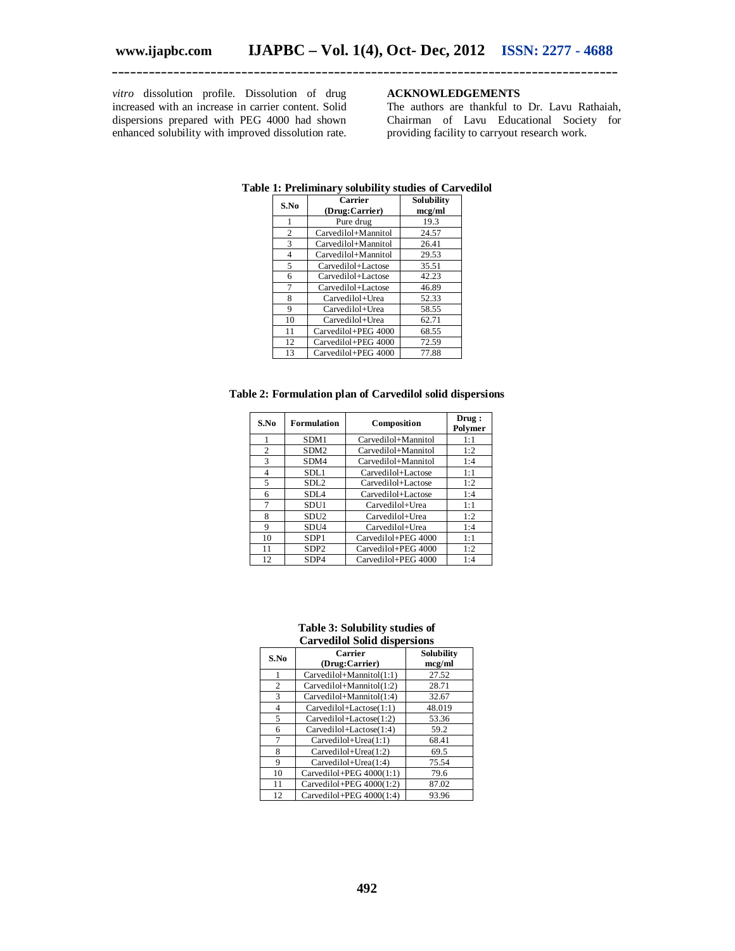*vitro* dissolution profile. Dissolution of drug increased with an increase in carrier content. Solid dispersions prepared with PEG 4000 had shown enhanced solubility with improved dissolution rate.

## **ACKNOWLEDGEMENTS**

The authors are thankful to Dr. Lavu Rathaiah, Chairman of Lavu Educational Society for providing facility to carryout research work.

| S.No           | Carrier             | Solubility |  |  |  |
|----------------|---------------------|------------|--|--|--|
|                | (Drug:Carrier)      | mcg/ml     |  |  |  |
| 1              | Pure drug           | 19.3       |  |  |  |
| $\overline{c}$ | Carvedilol+Mannitol | 24.57      |  |  |  |
| 3              | Carvedilol+Mannitol | 26.41      |  |  |  |
| 4              | Carvedilol+Mannitol | 29.53      |  |  |  |
| 5              | Carvedilol+Lactose  | 35.51      |  |  |  |
| 6              | Carvedilol+Lactose  | 42.23      |  |  |  |
| 7              | Carvedilol+Lactose  | 46.89      |  |  |  |
| 8              | Carvedilol+Urea     | 52.33      |  |  |  |
| 9              | Carvedilol+Urea     | 58.55      |  |  |  |
| 10             | Carvedilol+Urea     | 62.71      |  |  |  |
| 11             | Carvedilol+PEG 4000 | 68.55      |  |  |  |
| 12             | Carvedilol+PEG 4000 | 72.59      |  |  |  |
| 13             | Carvedilol+PEG 4000 | 77.88      |  |  |  |

#### **Table 1: Preliminary solubility studies of Carvedilol**

**\_\_\_\_\_\_\_\_\_\_\_\_\_\_\_\_\_\_\_\_\_\_\_\_\_\_\_\_\_\_\_\_\_\_\_\_\_\_\_\_\_\_\_\_\_\_\_\_\_\_\_\_\_\_\_\_\_\_\_\_\_\_\_\_\_\_\_\_\_\_\_\_\_\_\_\_\_\_\_\_\_\_**

## **Table 2: Formulation plan of Carvedilol solid dispersions**

| S.No           | <b>Formulation</b> | Composition         | Drug:<br>Polymer |
|----------------|--------------------|---------------------|------------------|
|                | SDM1               | Carvedilol+Mannitol | 1:1              |
| $\mathfrak{2}$ | SDM <sub>2</sub>   | Carvedilol+Mannitol | 1:2              |
| 3              | SDM4               | Carvedilol+Mannitol | 1:4              |
| 4              | SDL1               | Carvedilol+Lactose  | 1:1              |
| 5              | SDL <sub>2</sub>   | Carvedilol+Lactose  | 1:2              |
| 6              | SDI <sub>A</sub>   | Carvedilol+Lactose  | 1:4              |
| 7              | SDU1               | Carvedilol+Urea     | 1:1              |
| 8              | SDU2               | Carvedilol+Urea     | 1:2              |
| 9              | SDU4               | Carvedilol+Urea     | 1:4              |
| 10             | SDP <sub>1</sub>   | Carvedilol+PEG 4000 | 1:1              |
| 11             | SDP <sub>2</sub>   | Carvedilol+PEG 4000 | 1:2              |
| 12             | SDP4               | Carvedilol+PEG 4000 | 1:4              |

#### **Table 3: Solubility studies of Carvedilol Solid dispersions**

| S.No | Carrier<br>(Drug:Carrier)  | Solubility<br>mcg/ml |  |  |  |  |
|------|----------------------------|----------------------|--|--|--|--|
| 1    | Carvedilol+Mannitol(1:1)   | 27.52                |  |  |  |  |
| 2    | Carvedilol+Mannitol(1:2)   | 28.71                |  |  |  |  |
| 3    | Carvedilol+Mannitol(1:4)   | 32.67                |  |  |  |  |
| 4    | Carvedilol+Lactose(1:1)    | 48.019               |  |  |  |  |
| 5    | Carvedilol+Lactose(1:2)    | 53.36                |  |  |  |  |
| 6    | Carvedilol+Lactose(1:4)    | 59.2                 |  |  |  |  |
| 7    | Carvedilol+Urea(1:1)       | 68.41                |  |  |  |  |
| 8    | $Carvedilol+Urea(1:2)$     | 69.5                 |  |  |  |  |
| 9    | Carvedilol+Urea(1:4)       | 75.54                |  |  |  |  |
| 10   | Carvedilol+PEG $4000(1:1)$ | 79.6                 |  |  |  |  |
| 11   | Carvedilol+PEG $4000(1:2)$ | 87.02                |  |  |  |  |
| 12   | Carvedilol+PEG $4000(1:4)$ | 93.96                |  |  |  |  |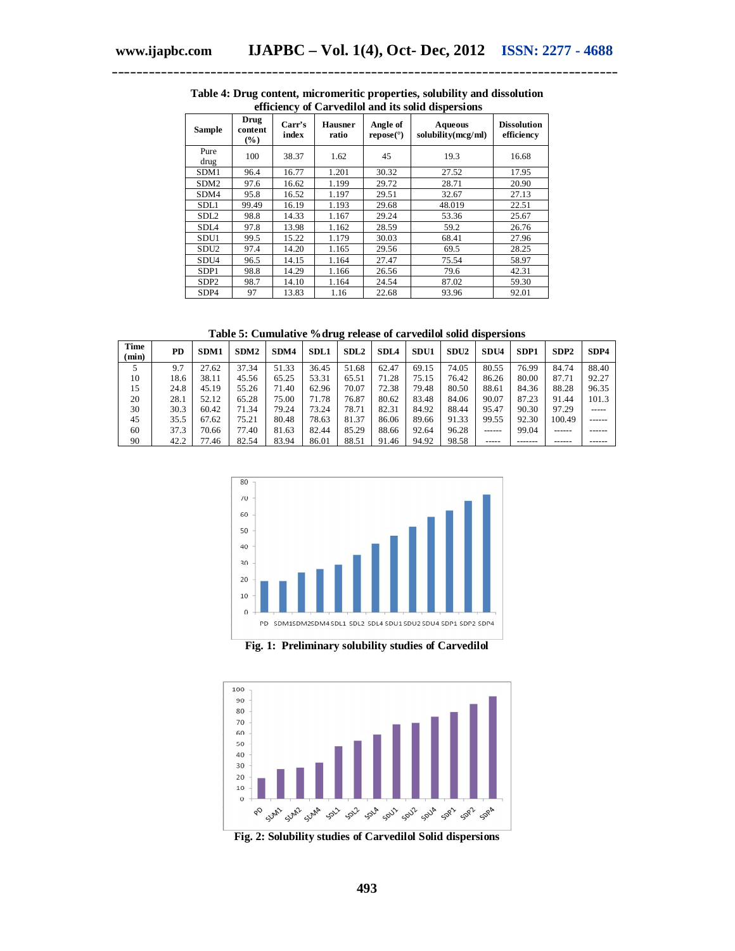| Sample           | Drug<br>content<br>$(\%)$ | Carr's<br>index | <b>Hausner</b><br>ratio | Angle of<br>$\mathbf{repose}(\mathcal{O})$ | Aqueous<br>solubility(mcg/ml) | <b>Dissolution</b><br>efficiency |
|------------------|---------------------------|-----------------|-------------------------|--------------------------------------------|-------------------------------|----------------------------------|
| Pure<br>drug     | 100                       | 38.37           | 1.62                    | 45                                         | 19.3                          | 16.68                            |
| SDM1             | 96.4                      | 16.77           | 1.201                   | 30.32                                      | 27.52                         | 17.95                            |
| SDM <sub>2</sub> | 97.6                      | 16.62           | 1.199                   | 29.72                                      | 28.71                         | 20.90                            |
| SDM4             | 95.8                      | 16.52           | 1.197                   | 29.51                                      | 32.67                         | 27.13                            |
| SDL1             | 99.49                     | 16.19           | 1.193                   | 29.68                                      | 48.019                        | 22.51                            |
| SDL <sub>2</sub> | 98.8                      | 14.33           | 1.167                   | 29.24                                      | 53.36                         | 25.67                            |
| SDL <sub>4</sub> | 97.8                      | 13.98           | 1.162                   | 28.59                                      | 59.2                          | 26.76                            |
| SDU1             | 99.5                      | 15.22           | 1.179                   | 30.03                                      | 68.41                         | 27.96                            |
| SDU <sub>2</sub> | 97.4                      | 14.20           | 1.165                   | 29.56                                      | 69.5                          | 28.25                            |
| SDU4             | 96.5                      | 14.15           | 1.164                   | 27.47                                      | 75.54                         | 58.97                            |
| SDP <sub>1</sub> | 98.8                      | 14.29           | 1.166                   | 26.56                                      | 79.6                          | 42.31                            |
| SDP <sub>2</sub> | 98.7                      | 14.10           | 1.164                   | 24.54                                      | 87.02                         | 59.30                            |
| SDP4             | 97                        | 13.83           | 1.16                    | 22.68                                      | 93.96                         | 92.01                            |

**Table 4: Drug content, micromeritic properties, solubility and dissolution efficiency of Carvedilol and its solid dispersions**

**Table 5: Cumulative %drug release of carvedilol solid dispersions**

| Time<br>(min) | <b>PD</b> | SDM1  | SDM <sub>2</sub> | SDM4  | <b>SDL1</b> | SDL <sub>2</sub> | <b>SDL4</b> | SDU1  | SDU <sub>2</sub> | SDU4   | SDP <sub>1</sub> | SDP <sub>2</sub> | SDP4   |
|---------------|-----------|-------|------------------|-------|-------------|------------------|-------------|-------|------------------|--------|------------------|------------------|--------|
|               | 9.7       | 27.62 | 37.34            | 51.33 | 36.45       | 51.68            | 62.47       | 69.15 | 74.05            | 80.55  | 76.99            | 84.74            | 88.40  |
| 10            | 18.6      | 38.11 | 45.56            | 65.25 | 53.31       | 65.51            | 71.28       | 75.15 | 76.42            | 86.26  | 80.00            | 87.71            | 92.27  |
| 15            | 24.8      | 45.19 | 55.26            | 71.40 | 62.96       | 70.07            | 72.38       | 79.48 | 80.50            | 88.61  | 84.36            | 88.28            | 96.35  |
| 20            | 28.1      | 52.12 | 65.28            | 75.00 | 71.78       | 76.87            | 80.62       | 83.48 | 84.06            | 90.07  | 87.23            | 91.44            | 101.3  |
| 30            | 30.3      | 60.42 | 71.34            | 79.24 | 73.24       | 78.71            | 82.31       | 84.92 | 88.44            | 95.47  | 90.30            | 97.29            | -----  |
| 45            | 35.5      | 67.62 | 75.21            | 80.48 | 78.63       | 81.37            | 86.06       | 89.66 | 91.33            | 99.55  | 92.30            | 100.49           | ------ |
| 60            | 37.3      | 70.66 | 77.40            | 81.63 | 82.44       | 85.29            | 88.66       | 92.64 | 96.28            | ------ | 99.04            |                  |        |
| 90            | 42.2      | 77.46 | 82.54            | 83.94 | 86.01       | 88.51            | 91.46       | 94.92 | 98.58            | -----  |                  |                  | ------ |



**Fig. 1: Preliminary solubility studies of Carvedilol**



**Fig. 2: Solubility studies of Carvedilol Solid dispersions**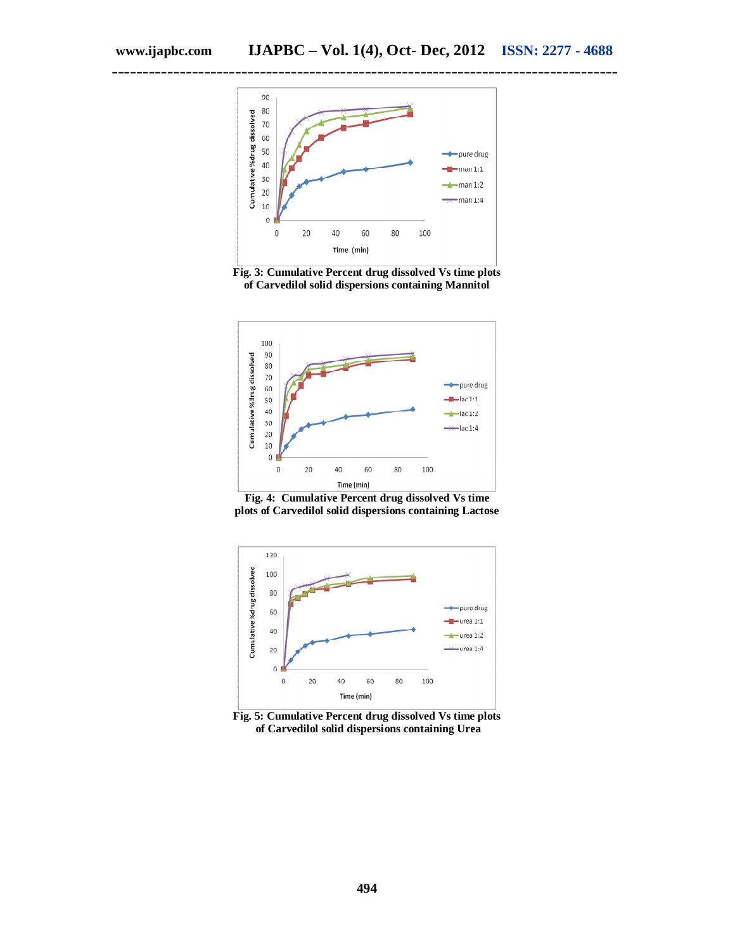

**Fig. 3: Cumulative Percent drug dissolved Vs time plots of Carvedilol solid dispersions containing Mannitol**



**Fig. 4: Cumulative Percent drug dissolved Vs time plots of Carvedilol solid dispersions containing Lactose**



**Fig. 5: Cumulative Percent drug dissolved Vs time plots of Carvedilol solid dispersions containing Urea**